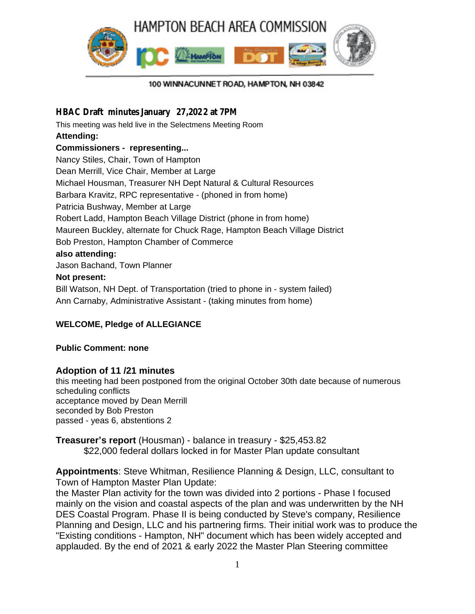

#### 100 WINNACUNNET ROAD, HAMPTON, NH 03842

#### **HBAC Draft minutes January 27,2022 at 7PM**

This meeting was held live in the Selectmens Meeting Room **Attending: Commissioners - representing...** Nancy Stiles, Chair, Town of Hampton Dean Merrill, Vice Chair, Member at Large Michael Housman, Treasurer NH Dept Natural & Cultural Resources Barbara Kravitz, RPC representative - (phoned in from home) Patricia Bushway, Member at Large Robert Ladd, Hampton Beach Village District (phone in from home) Maureen Buckley, alternate for Chuck Rage, Hampton Beach Village District Bob Preston, Hampton Chamber of Commerce **also attending:**

Jason Bachand, Town Planner

#### **Not present:**

Bill Watson, NH Dept. of Transportation (tried to phone in - system failed) Ann Carnaby, Administrative Assistant - (taking minutes from home)

## **WELCOME, Pledge of ALLEGIANCE**

#### **Public Comment: none**

## **Adoption of 11 /21 minutes**

this meeting had been postponed from the original October 30th date because of numerous scheduling conflicts acceptance moved by Dean Merrill seconded by Bob Preston passed - yeas 6, abstentions 2

**Treasurer's report** (Housman) - balance in treasury - \$25,453.82 \$22,000 federal dollars locked in for Master Plan update consultant

**Appointments**: Steve Whitman, Resilience Planning & Design, LLC, consultant to Town of Hampton Master Plan Update:

the Master Plan activity for the town was divided into 2 portions - Phase I focused mainly on the vision and coastal aspects of the plan and was underwritten by the NH DES Coastal Program. Phase II is being conducted by Steve's company, Resilience Planning and Design, LLC and his partnering firms. Their initial work was to produce the "Existing conditions - Hampton, NH" document which has been widely accepted and applauded. By the end of 2021 & early 2022 the Master Plan Steering committee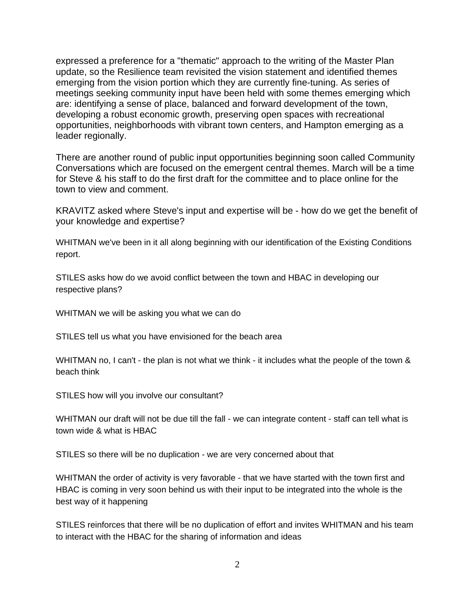expressed a preference for a "thematic" approach to the writing of the Master Plan update, so the Resilience team revisited the vision statement and identified themes emerging from the vision portion which they are currently fine-tuning. As series of meetings seeking community input have been held with some themes emerging which are: identifying a sense of place, balanced and forward development of the town, developing a robust economic growth, preserving open spaces with recreational opportunities, neighborhoods with vibrant town centers, and Hampton emerging as a leader regionally.

There are another round of public input opportunities beginning soon called Community Conversations which are focused on the emergent central themes. March will be a time for Steve & his staff to do the first draft for the committee and to place online for the town to view and comment.

KRAVITZ asked where Steve's input and expertise will be - how do we get the benefit of your knowledge and expertise?

WHITMAN we've been in it all along beginning with our identification of the Existing Conditions report.

STILES asks how do we avoid conflict between the town and HBAC in developing our respective plans?

WHITMAN we will be asking you what we can do

STILES tell us what you have envisioned for the beach area

WHITMAN no, I can't - the plan is not what we think - it includes what the people of the town & beach think

STILES how will you involve our consultant?

WHITMAN our draft will not be due till the fall - we can integrate content - staff can tell what is town wide & what is HBAC

STILES so there will be no duplication - we are very concerned about that

WHITMAN the order of activity is very favorable - that we have started with the town first and HBAC is coming in very soon behind us with their input to be integrated into the whole is the best way of it happening

STILES reinforces that there will be no duplication of effort and invites WHITMAN and his team to interact with the HBAC for the sharing of information and ideas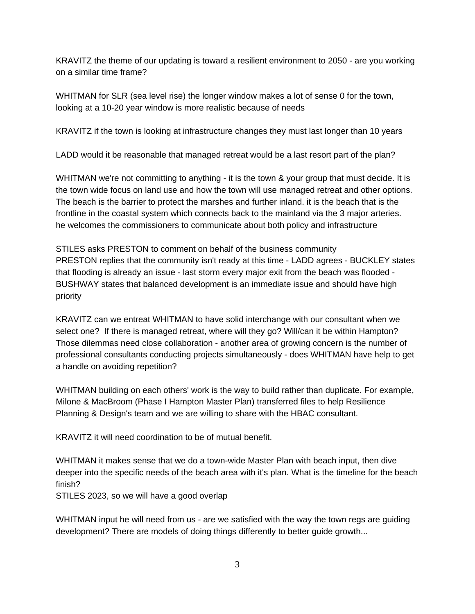KRAVITZ the theme of our updating is toward a resilient environment to 2050 - are you working on a similar time frame?

WHITMAN for SLR (sea level rise) the longer window makes a lot of sense 0 for the town, looking at a 10-20 year window is more realistic because of needs

KRAVITZ if the town is looking at infrastructure changes they must last longer than 10 years

LADD would it be reasonable that managed retreat would be a last resort part of the plan?

WHITMAN we're not committing to anything - it is the town & your group that must decide. It is the town wide focus on land use and how the town will use managed retreat and other options. The beach is the barrier to protect the marshes and further inland. it is the beach that is the frontline in the coastal system which connects back to the mainland via the 3 major arteries. he welcomes the commissioners to communicate about both policy and infrastructure

STILES asks PRESTON to comment on behalf of the business community PRESTON replies that the community isn't ready at this time - LADD agrees - BUCKLEY states that flooding is already an issue - last storm every major exit from the beach was flooded - BUSHWAY states that balanced development is an immediate issue and should have high priority

KRAVITZ can we entreat WHITMAN to have solid interchange with our consultant when we select one? If there is managed retreat, where will they go? Will/can it be within Hampton? Those dilemmas need close collaboration - another area of growing concern is the number of professional consultants conducting projects simultaneously - does WHITMAN have help to get a handle on avoiding repetition?

WHITMAN building on each others' work is the way to build rather than duplicate. For example, Milone & MacBroom (Phase I Hampton Master Plan) transferred files to help Resilience Planning & Design's team and we are willing to share with the HBAC consultant.

KRAVITZ it will need coordination to be of mutual benefit.

WHITMAN it makes sense that we do a town-wide Master Plan with beach input, then dive deeper into the specific needs of the beach area with it's plan. What is the timeline for the beach finish?

STILES 2023, so we will have a good overlap

WHITMAN input he will need from us - are we satisfied with the way the town regs are guiding development? There are models of doing things differently to better guide growth...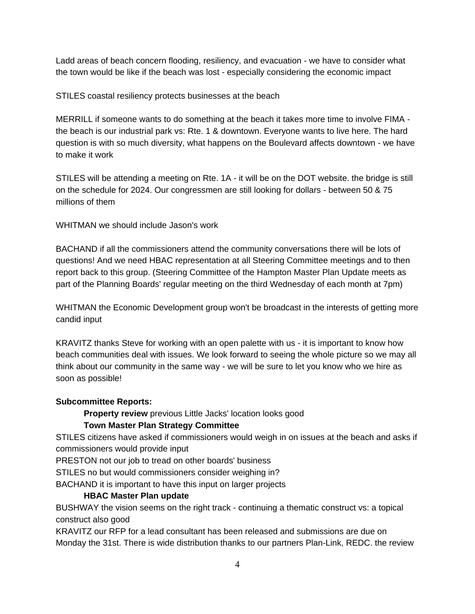Ladd areas of beach concern flooding, resiliency, and evacuation - we have to consider what the town would be like if the beach was lost - especially considering the economic impact

#### STILES coastal resiliency protects businesses at the beach

MERRILL if someone wants to do something at the beach it takes more time to involve FIMA the beach is our industrial park vs: Rte. 1 & downtown. Everyone wants to live here. The hard question is with so much diversity, what happens on the Boulevard affects downtown - we have to make it work

STILES will be attending a meeting on Rte. 1A - it will be on the DOT website. the bridge is still on the schedule for 2024. Our congressmen are still looking for dollars - between 50 & 75 millions of them

WHITMAN we should include Jason's work

BACHAND if all the commissioners attend the community conversations there will be lots of questions! And we need HBAC representation at all Steering Committee meetings and to then report back to this group. (Steering Committee of the Hampton Master Plan Update meets as part of the Planning Boards' regular meeting on the third Wednesday of each month at 7pm)

WHITMAN the Economic Development group won't be broadcast in the interests of getting more candid input

KRAVITZ thanks Steve for working with an open palette with us - it is important to know how beach communities deal with issues. We look forward to seeing the whole picture so we may all think about our community in the same way - we will be sure to let you know who we hire as soon as possible!

#### **Subcommittee Reports:**

**Property review** previous Little Jacks' location looks good

## **Town Master Plan Strategy Committee**

STILES citizens have asked if commissioners would weigh in on issues at the beach and asks if commissioners would provide input

PRESTON not our job to tread on other boards' business

STILES no but would commissioners consider weighing in?

BACHAND it is important to have this input on larger projects

## **HBAC Master Plan update**

BUSHWAY the vision seems on the right track - continuing a thematic construct vs: a topical construct also good

KRAVITZ our RFP for a lead consultant has been released and submissions are due on Monday the 31st. There is wide distribution thanks to our partners Plan-Link, REDC. the review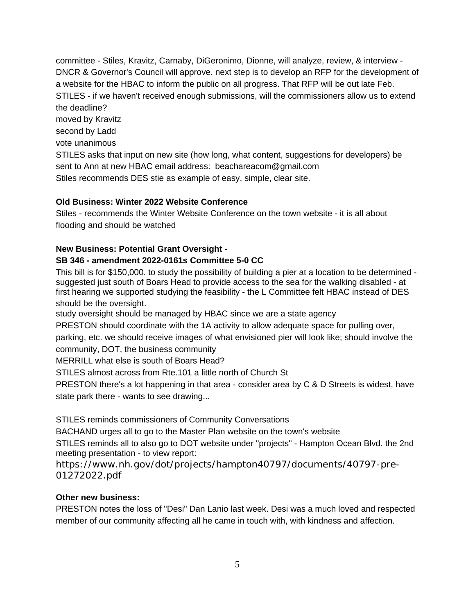committee - Stiles, Kravitz, Carnaby, DiGeronimo, Dionne, will analyze, review, & interview - DNCR & Governor's Council will approve. next step is to develop an RFP for the development of a website for the HBAC to inform the public on all progress. That RFP will be out late Feb. STILES - if we haven't received enough submissions, will the commissioners allow us to extend the deadline? moved by Kravitz second by Ladd vote unanimous STILES asks that input on new site (how long, what content, suggestions for developers) be sent to Ann at new HBAC email address: beachareacom@gmail.com Stiles recommends DES stie as example of easy, simple, clear site.

# **Old Business: Winter 2022 Website Conference**

Stiles - recommends the Winter Website Conference on the town website - it is all about flooding and should be watched

# **New Business: Potential Grant Oversight -**

# **SB 346 - amendment 2022-0161s Committee 5-0 CC**

This bill is for \$150,000. to study the possibility of building a pier at a location to be determined suggested just south of Boars Head to provide access to the sea for the walking disabled - at first hearing we supported studying the feasibility - the L Committee felt HBAC instead of DES should be the oversight.

study oversight should be managed by HBAC since we are a state agency

PRESTON should coordinate with the 1A activity to allow adequate space for pulling over,

parking, etc. we should receive images of what envisioned pier will look like; should involve the community, DOT, the business community

MERRILL what else is south of Boars Head?

STILES almost across from Rte.101 a little north of Church St

PRESTON there's a lot happening in that area - consider area by C & D Streets is widest, have state park there - wants to see drawing...

STILES reminds commissioners of Community Conversations

BACHAND urges all to go to the Master Plan website on the town's website

STILES reminds all to also go to DOT website under "projects" - Hampton Ocean Blvd. the 2nd meeting presentation - to view report:

https://www.nh.gov/dot/projects/hampton40797/documents/40797-pre-01272022.pdf

## **Other new business:**

PRESTON notes the loss of "Desi" Dan Lanio last week. Desi was a much loved and respected member of our community affecting all he came in touch with, with kindness and affection.